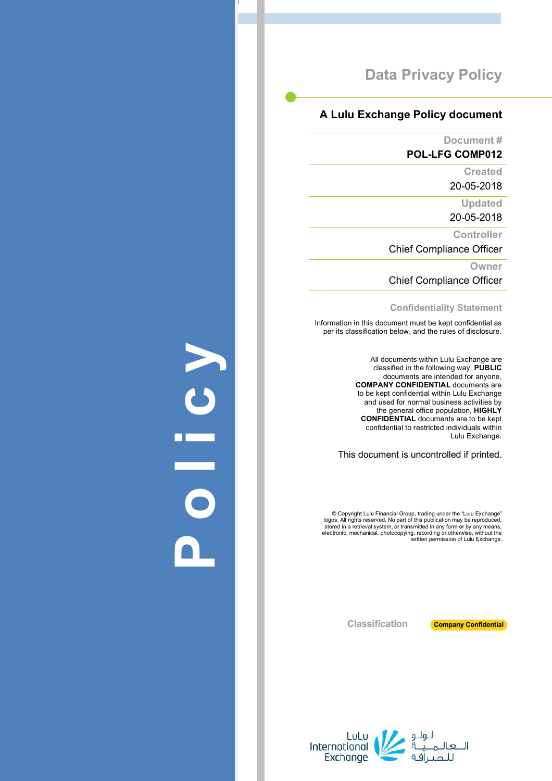### **A Lulu Exchange Policy document**

**Document #**

**POL -LFG COMP012**

**Created**

20 -05 -2018

**Updated**

20 -05 -2018

**Controller**

Chief Compliance Officer

**Owner**

Chief Compliance Officer

**Confidentiality Statement**

Information in this document must be kept confidential as per its classification below, and the rules of disclosure.

> All documents within Lulu Exchange are classified in the following way. **PUBLIC** documents are intended for anyone, **COMPANY CONFIDENTIAL** documents are to be kept confidential within Lulu Exchange and used for normal business activities by the general office population, **HIGHLY CONFIDENTIAL** documents are to be kept confidential to restricted individuals within Lulu Exchange .

This document is uncontrolled if printed.

© Copyright Lulu Financial Group, trading under the "Lulu Exchange" logos. All rights reserved. No part of this publication may be reproduced,<br>stored in a retrieval system, or transmitted in any form or by any means,<br>electronic, mechanical, photocopying, recording or otherwise, without the

**Company Confidential** 

**Classification**



**Policy**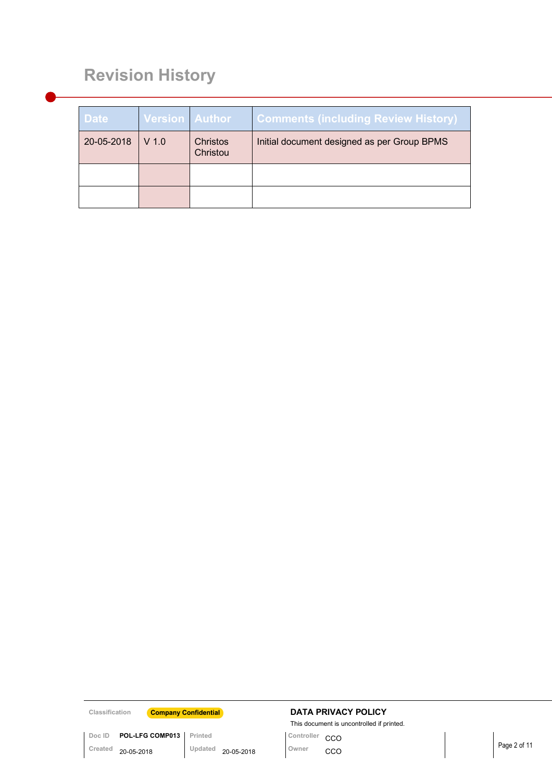# **Revision History**

| <b>Date</b> | Version Author |                      | <b>Comments (including Review History)</b>  |
|-------------|----------------|----------------------|---------------------------------------------|
| 20-05-2018  | $V$ 1.0        | Christos<br>Christou | Initial document designed as per Group BPMS |
|             |                |                      |                                             |
|             |                |                      |                                             |

**Doc ID POL-LFG COMP013** Printed<br>Created **20-05-2018** Updated

### **Classification Company Confidential DATA PRIVACY POLICY**

This document is uncontrolled if printed.<br>Controller CCO

Page 2 of 11 **Created** 20-05-2018 **Updated** 20-05-2018 **Owner** CCO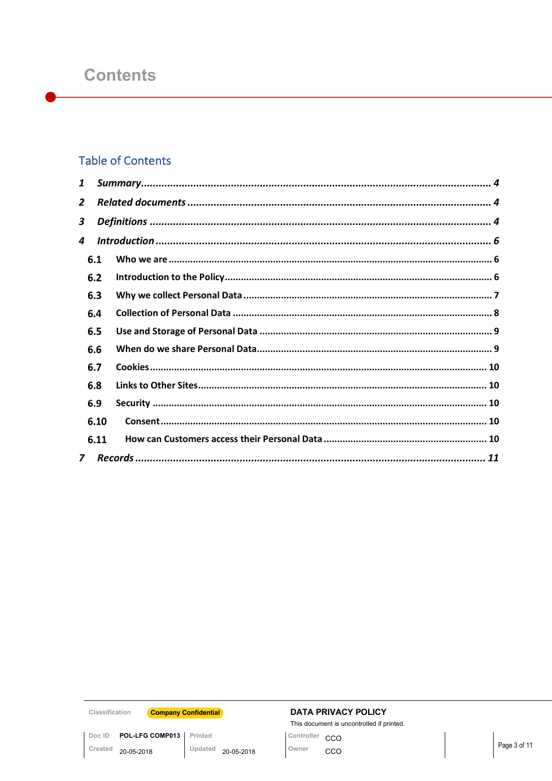## **Table of Contents**

| 1 |              |  |
|---|--------------|--|
| 2 |              |  |
| 3 |              |  |
| 4 |              |  |
|   | 6.1          |  |
|   | 6.2          |  |
|   | 6.3          |  |
|   | 6.4          |  |
|   | 6.5          |  |
|   | 6.6          |  |
|   | 6.7          |  |
|   | 6.8          |  |
|   | 6.9          |  |
|   | 6.10         |  |
|   | 6.11         |  |
|   | $\mathbf{z}$ |  |

Classification

Created 20-05-2018

**Company Confidential** 

Updated 20-05-2018

Doc ID POL-LFG COMP013 Printed

### **DATA PRIVACY POLICY**

This document is uncontrolled if printed.

Controller CCO Owner  $cco$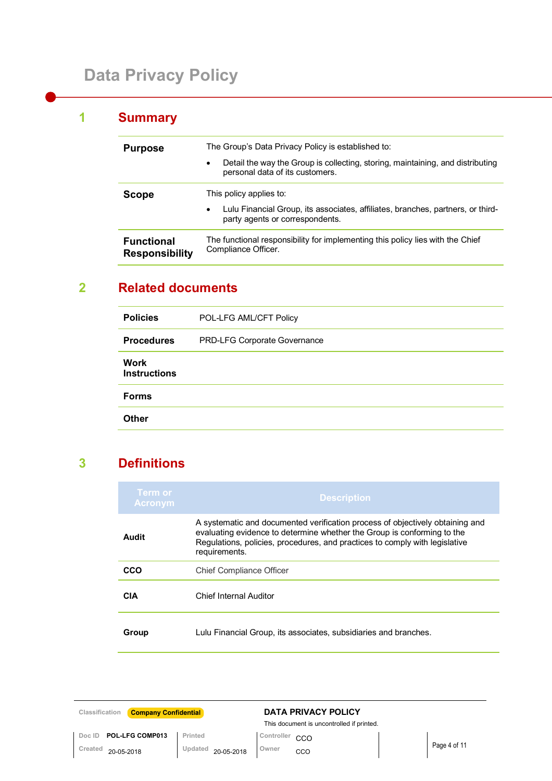## **1 Summary**

| <b>Purpose</b>                                                                                                                                      | The Group's Data Privacy Policy is established to:                                                                              |
|-----------------------------------------------------------------------------------------------------------------------------------------------------|---------------------------------------------------------------------------------------------------------------------------------|
|                                                                                                                                                     | Detail the way the Group is collecting, storing, maintaining, and distributing<br>$\bullet$<br>personal data of its customers.  |
| Scope                                                                                                                                               | This policy applies to:                                                                                                         |
|                                                                                                                                                     | Lulu Financial Group, its associates, affiliates, branches, partners, or third-<br>$\bullet$<br>party agents or correspondents. |
| The functional responsibility for implementing this policy lies with the Chief<br><b>Functional</b><br>Compliance Officer.<br><b>Responsibility</b> |                                                                                                                                 |

## **2 Related documents**

| <b>Policies</b>             | POL-LFG AML/CFT Policy       |
|-----------------------------|------------------------------|
| <b>Procedures</b>           | PRD-LFG Corporate Governance |
| Work<br><b>Instructions</b> |                              |
| <b>Forms</b>                |                              |
| <b>Other</b>                |                              |

## **3 Definitions**

| Term or<br><b>Acronym</b> | <b>Description</b>                                                                                                                                                                                                                                       |
|---------------------------|----------------------------------------------------------------------------------------------------------------------------------------------------------------------------------------------------------------------------------------------------------|
| Audit                     | A systematic and documented verification process of objectively obtaining and<br>evaluating evidence to determine whether the Group is conforming to the<br>Regulations, policies, procedures, and practices to comply with legislative<br>requirements. |
| CCO                       | <b>Chief Compliance Officer</b>                                                                                                                                                                                                                          |
| CIA                       | Chief Internal Auditor                                                                                                                                                                                                                                   |
| Group                     | Lulu Financial Group, its associates, subsidiaries and branches.                                                                                                                                                                                         |

| <b>Company Confidential</b><br>Classification |                       | <b>DATA PRIVACY POLICY</b>                |              |
|-----------------------------------------------|-----------------------|-------------------------------------------|--------------|
|                                               |                       | This document is uncontrolled if printed. |              |
| <b>POL-LFG COMP013</b><br>Doc ID              | Printed               | Controller<br>CCO                         |              |
| Created<br>20-05-2018                         | Updated<br>20-05-2018 | Owner<br><b>CCO</b>                       | Page 4 of 11 |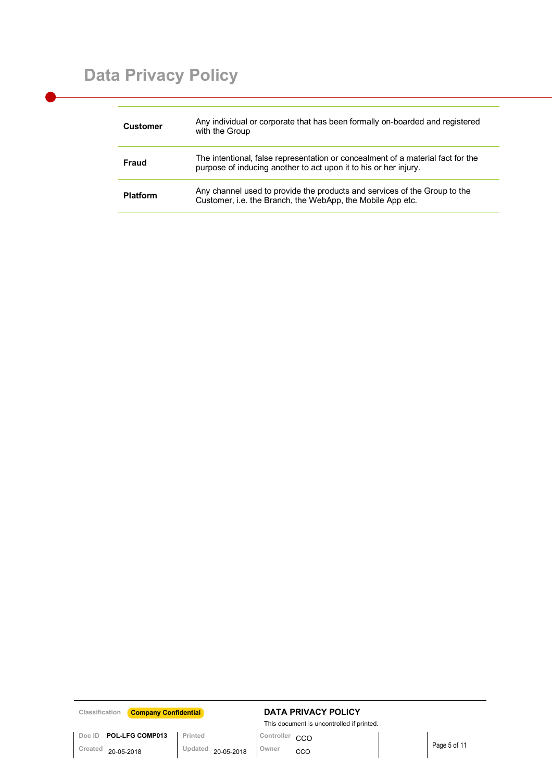| Customer        | Any individual or corporate that has been formally on-boarded and registered<br>with the Group                                                      |
|-----------------|-----------------------------------------------------------------------------------------------------------------------------------------------------|
| Fraud           | The intentional, false representation or concealment of a material fact for the<br>purpose of inducing another to act upon it to his or her injury. |
| <b>Platform</b> | Any channel used to provide the products and services of the Group to the<br>Customer, i.e. the Branch, the WebApp, the Mobile App etc.             |

### **Classification Company Confidential DATA PRIVACY POLICY**

This document is uncontrolled if printed.

Doc **ID POL-LFG COMP013** Printed<br>Created 20-05-2018 Updated 20-05-2018 Owner CCO

Page 5 of 11 **Created** 20-05-2018 **Updated** 20-05-2018 **Owner** CCO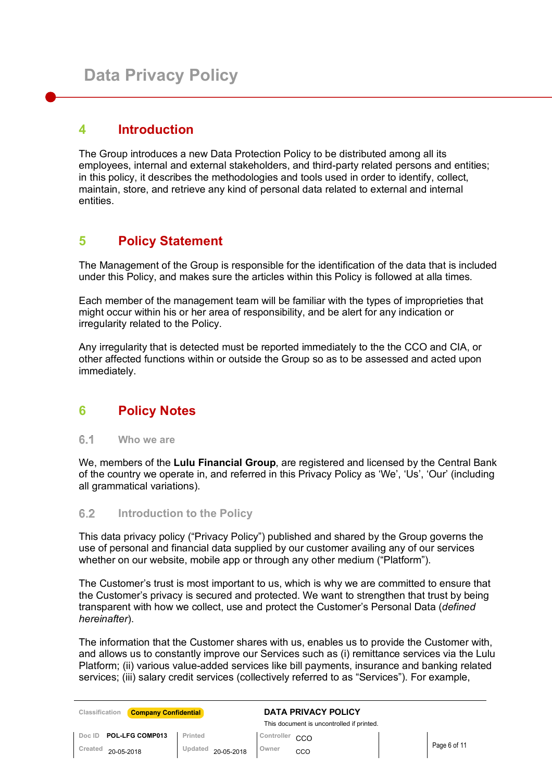### **4 Introduction**

The Group introduces a new Data Protection Policy to be distributed among all its employees, internal and external stakeholders, and third-party related persons and entities; in this policy, it describes the methodologies and tools used in order to identify, collect, maintain, store, and retrieve any kind of personal data related to external and internal entities.

## **5 Policy Statement**

The Management of the Group is responsible for the identification of the data that is included under this Policy, and makes sure the articles within this Policy is followed at alla times.

Each member of the management team will be familiar with the types of improprieties that might occur within his or her area of responsibility, and be alert for any indication or irregularity related to the Policy.

Any irregularity that is detected must be reported immediately to the the CCO and CIA, or other affected functions within or outside the Group so as to be assessed and acted upon immediately.

## **6 Policy Notes**

 $6.1$ **Who we are**

We, members of the **Lulu Financial Group**, are registered and licensed by the Central Bank of the country we operate in, and referred in this Privacy Policy as 'We', 'Us', 'Our' (including all grammatical variations).

#### $6.2$ **Introduction to the Policy**

This data privacy policy ("Privacy Policy") published and shared by the Group governs the use of personal and financial data supplied by our customer availing any of our services whether on our website, mobile app or through any other medium ("Platform").

The Customer's trust is most important to us, which is why we are committed to ensure that the Customer's privacy is secured and protected. We want to strengthen that trust by being transparent with how we collect, use and protect the Customer's Personal Data (*defined hereinafter*).

The information that the Customer shares with us, enables us to provide the Customer with, and allows us to constantly improve our Services such as (i) remittance services via the Lulu Platform; (ii) various value-added services like bill payments, insurance and banking related services; (iii) salary credit services (collectively referred to as "Services"). For example,

| <b>Company Confidential</b><br>Classification |                       | DATA PRIVACY POLICY<br>This document is uncontrolled if printed. |              |
|-----------------------------------------------|-----------------------|------------------------------------------------------------------|--------------|
| <b>POL-LFG COMP013</b><br>Doc ID              | Printed               | Controller CCO                                                   |              |
| Created<br>20-05-2018                         | Updated<br>20-05-2018 | Owner<br>CCO                                                     | Page 6 of 11 |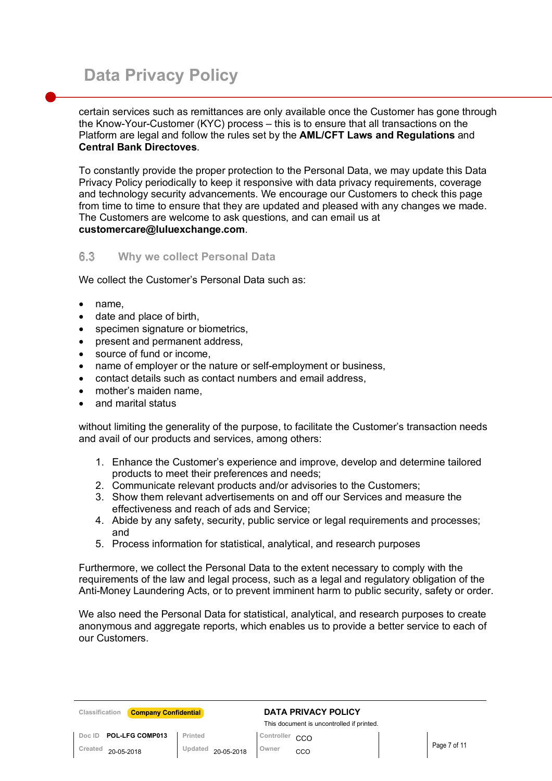certain services such as remittances are only available once the Customer has gone through the Know-Your-Customer (KYC) process – this is to ensure that all transactions on the Platform are legal and follow the rules set by the **AML/CFT Laws and Regulations** and **Central Bank Directoves**.

To constantly provide the proper protection to the Personal Data, we may update this Data Privacy Policy periodically to keep it responsive with data privacy requirements, coverage and technology security advancements. We encourage our Customers to check this page from time to time to ensure that they are updated and pleased with any changes we made. The Customers are welcome to ask questions, and can email us at **customercare@luluexchange.com**.

#### 6.3 **Why we collect Personal Data**

We collect the Customer's Personal Data such as:

- name.
- date and place of birth,
- specimen signature or biometrics,
- present and permanent address,
- source of fund or income.
- name of employer or the nature or self-employment or business,
- contact details such as contact numbers and email address,
- mother's maiden name.
- and marital status

without limiting the generality of the purpose, to facilitate the Customer's transaction needs and avail of our products and services, among others:

- 1. Enhance the Customer's experience and improve, develop and determine tailored products to meet their preferences and needs;
- 2. Communicate relevant products and/or advisories to the Customers;
- 3. Show them relevant advertisements on and off our Services and measure the effectiveness and reach of ads and Service;
- 4. Abide by any safety, security, public service or legal requirements and processes; and
- 5. Process information for statistical, analytical, and research purposes

Furthermore, we collect the Personal Data to the extent necessary to comply with the requirements of the law and legal process, such as a legal and regulatory obligation of the Anti-Money Laundering Acts, or to prevent imminent harm to public security, safety or order.

We also need the Personal Data for statistical, analytical, and research purposes to create anonymous and aggregate reports, which enables us to provide a better service to each of our Customers.

| Classification | <b>Company Confidential</b> |  |
|----------------|-----------------------------|--|
|----------------|-----------------------------|--|

### **Classification DATA PRIVACY POLICY**

This document is uncontrolled if printed.

**Doc ID POL-LFG COMP013 Printed CO CO** Created <sub>20-05-2018</sub> Updated <sub>20-05-2018</sub> Owner CCO **Page 7 of 11** Page 7 of 11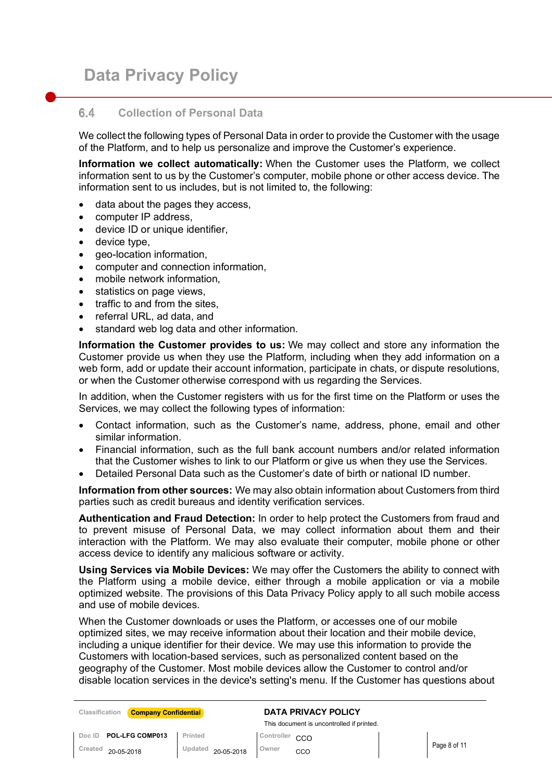#### 64 **Collection of Personal Data**

We collect the following types of Personal Data in order to provide the Customer with the usage of the Platform, and to help us personalize and improve the Customer's experience.

**Information we collect automatically:** When the Customer uses the Platform, we collect information sent to us by the Customer's computer, mobile phone or other access device. The information sent to us includes, but is not limited to, the following:

- data about the pages they access,
- computer IP address,
- device ID or unique identifier.
- device type,
- geo-location information,
- computer and connection information,
- mobile network information,
- statistics on page views,
- traffic to and from the sites.
- referral URL, ad data, and
- standard web log data and other information.

**Information the Customer provides to us:** We may collect and store any information the Customer provide us when they use the Platform, including when they add information on a web form, add or update their account information, participate in chats, or dispute resolutions, or when the Customer otherwise correspond with us regarding the Services.

In addition, when the Customer registers with us for the first time on the Platform or uses the Services, we may collect the following types of information:

- Contact information, such as the Customer's name, address, phone, email and other similar information.
- Financial information, such as the full bank account numbers and/or related information that the Customer wishes to link to our Platform or give us when they use the Services.
- Detailed Personal Data such as the Customer's date of birth or national ID number.

**Information from other sources:** We may also obtain information about Customers from third parties such as credit bureaus and identity verification services.

**Authentication and Fraud Detection:** In order to help protect the Customers from fraud and to prevent misuse of Personal Data, we may collect information about them and their interaction with the Platform. We may also evaluate their computer, mobile phone or other access device to identify any malicious software or activity.

**Using Services via Mobile Devices:** We may offer the Customers the ability to connect with the Platform using a mobile device, either through a mobile application or via a mobile optimized website. The provisions of this Data Privacy Policy apply to all such mobile access and use of mobile devices.

When the Customer downloads or uses the Platform, or accesses one of our mobile optimized sites, we may receive information about their location and their mobile device, including a unique identifier for their device. We may use this information to provide the Customers with location-based services, such as personalized content based on the geography of the Customer. Most mobile devices allow the Customer to control and/or disable location services in the device's setting's menu. If the Customer has questions about

| Classification | <b>Company Confidential</b> |         |                    |                | <b>DATA PRIVACY POLICY</b>                |              |
|----------------|-----------------------------|---------|--------------------|----------------|-------------------------------------------|--------------|
|                |                             |         |                    |                | This document is uncontrolled if printed. |              |
| Doc ID         | POL-LFG COMP013             | Printed |                    | Controller CCO |                                           |              |
| Created        | 20-05-2018                  |         | Updated 20-05-2018 | Owner          | CCO                                       | Page 8 of 11 |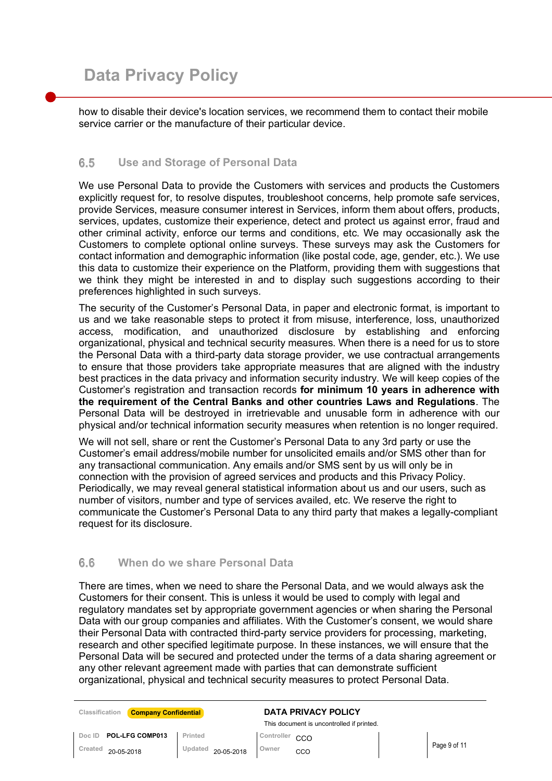how to disable their device's location services, we recommend them to contact their mobile service carrier or the manufacture of their particular device.

#### $6.5$ **Use and Storage of Personal Data**

We use Personal Data to provide the Customers with services and products the Customers explicitly request for, to resolve disputes, troubleshoot concerns, help promote safe services, provide Services, measure consumer interest in Services, inform them about offers, products, services, updates, customize their experience, detect and protect us against error, fraud and other criminal activity, enforce our terms and conditions, etc. We may occasionally ask the Customers to complete optional online surveys. These surveys may ask the Customers for contact information and demographic information (like postal code, age, gender, etc.). We use this data to customize their experience on the Platform, providing them with suggestions that we think they might be interested in and to display such suggestions according to their preferences highlighted in such surveys.

The security of the Customer's Personal Data, in paper and electronic format, is important to us and we take reasonable steps to protect it from misuse, interference, loss, unauthorized access, modification, and unauthorized disclosure by establishing and enforcing organizational, physical and technical security measures. When there is a need for us to store the Personal Data with a third-party data storage provider, we use contractual arrangements to ensure that those providers take appropriate measures that are aligned with the industry best practices in the data privacy and information security industry. We will keep copies of the Customer's registration and transaction records **for minimum 10 years in adherence with the requirement of the Central Banks and other countries Laws and Regulations**. The Personal Data will be destroyed in irretrievable and unusable form in adherence with our physical and/or technical information security measures when retention is no longer required.

We will not sell, share or rent the Customer's Personal Data to any 3rd party or use the Customer's email address/mobile number for unsolicited emails and/or SMS other than for any transactional communication. Any emails and/or SMS sent by us will only be in connection with the provision of agreed services and products and this Privacy Policy. Periodically, we may reveal general statistical information about us and our users, such as number of visitors, number and type of services availed, etc. We reserve the right to communicate the Customer's Personal Data to any third party that makes a legally-compliant request for its disclosure.

#### $6.6$ **When do we share Personal Data**

There are times, when we need to share the Personal Data, and we would always ask the Customers for their consent. This is unless it would be used to comply with legal and regulatory mandates set by appropriate government agencies or when sharing the Personal Data with our group companies and affiliates. With the Customer's consent, we would share their Personal Data with contracted third-party service providers for processing, marketing, research and other specified legitimate purpose. In these instances, we will ensure that the Personal Data will be secured and protected under the terms of a data sharing agreement or any other relevant agreement made with parties that can demonstrate sufficient organizational, physical and technical security measures to protect Personal Data.

| Classification | <b>Company Confidential</b> |                    |                | <b>DATA PRIVACY POLICY</b>                |              |
|----------------|-----------------------------|--------------------|----------------|-------------------------------------------|--------------|
|                |                             |                    |                | This document is uncontrolled if printed. |              |
|                | Doc ID POL-LFG COMP013      | Printed            | Controller CCO |                                           |              |
| Created        | 20-05-2018                  | Updated 20-05-2018 | Owner          | CCO                                       | Page 9 of 11 |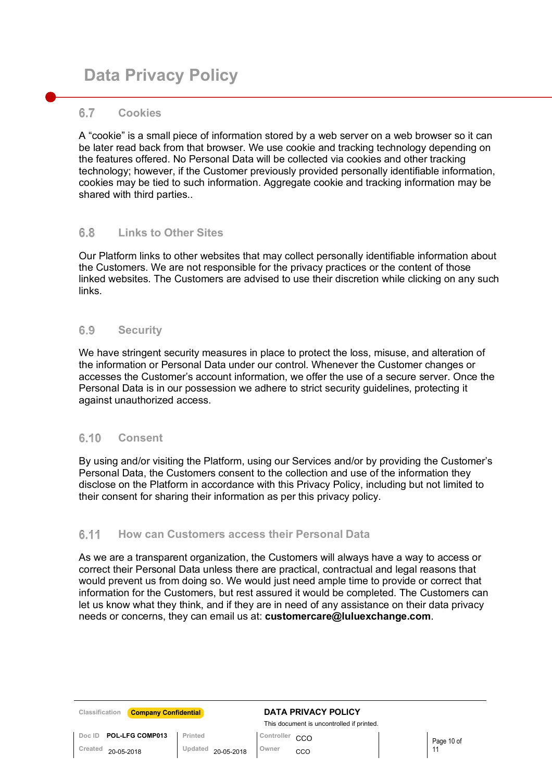#### 6.7 **Cookies**

A "cookie" is a small piece of information stored by a web server on a web browser so it can be later read back from that browser. We use cookie and tracking technology depending on the features offered. No Personal Data will be collected via cookies and other tracking technology; however, if the Customer previously provided personally identifiable information, cookies may be tied to such information. Aggregate cookie and tracking information may be shared with third parties..

#### 6.8 **Links to Other Sites**

Our Platform links to other websites that may collect personally identifiable information about the Customers. We are not responsible for the privacy practices or the content of those linked websites. The Customers are advised to use their discretion while clicking on any such links.

#### $6.9$ **Security**

We have stringent security measures in place to protect the loss, misuse, and alteration of the information or Personal Data under our control. Whenever the Customer changes or accesses the Customer's account information, we offer the use of a secure server. Once the Personal Data is in our possession we adhere to strict security guidelines, protecting it against unauthorized access.

#### $6.10$ **Consent**

By using and/or visiting the Platform, using our Services and/or by providing the Customer's Personal Data, the Customers consent to the collection and use of the information they disclose on the Platform in accordance with this Privacy Policy, including but not limited to their consent for sharing their information as per this privacy policy.

#### $6.11$ **How can Customers access their Personal Data**

As we are a transparent organization, the Customers will always have a way to access or correct their Personal Data unless there are practical, contractual and legal reasons that would prevent us from doing so. We would just need ample time to provide or correct that information for the Customers, but rest assured it would be completed. The Customers can let us know what they think, and if they are in need of any assistance on their data privacy needs or concerns, they can email us at: **customercare@luluexchange.com**.

| <b>Company Confidential</b><br>Classification |                       | <b>DATA PRIVACY POLICY</b><br>This document is uncontrolled if printed. |            |
|-----------------------------------------------|-----------------------|-------------------------------------------------------------------------|------------|
| <b>POL-LFG COMP013</b><br>Doc ID              | Printed               | Controller CCO                                                          | Page 10 of |
| Created<br>20-05-2018                         | Updated<br>20-05-2018 | Owner<br>cco                                                            |            |